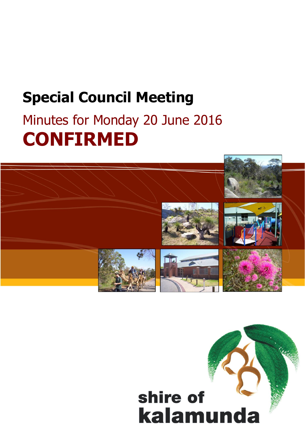# **Special Council Meeting**

# Minutes for Monday 20 June 2016 **CONFIRMED**



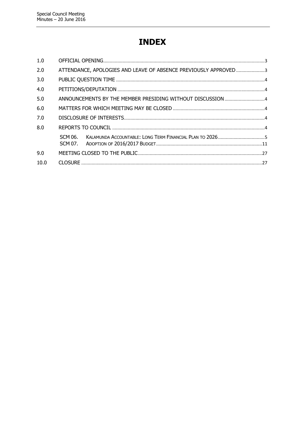# **INDEX**

| 1.0  |         |                                                                 |  |
|------|---------|-----------------------------------------------------------------|--|
| 2.0  |         | ATTENDANCE, APOLOGIES AND LEAVE OF ABSENCE PREVIOUSLY APPROVED3 |  |
| 3.0  |         |                                                                 |  |
| 4.0  |         |                                                                 |  |
| 5.0  |         |                                                                 |  |
| 6.0  |         |                                                                 |  |
| 7.0  |         |                                                                 |  |
| 8.0  |         |                                                                 |  |
|      | SCM 06. |                                                                 |  |
|      |         |                                                                 |  |
| 9.0  |         |                                                                 |  |
| 10.0 |         |                                                                 |  |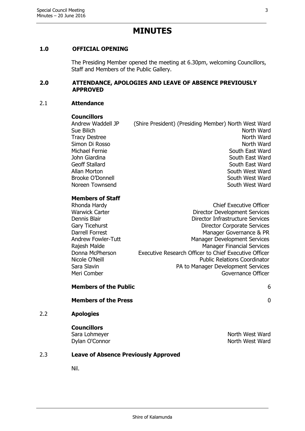# **MINUTES**

# <span id="page-2-0"></span>**1.0 OFFICIAL OPENING**

The Presiding Member opened the meeting at 6.30pm, welcoming Councillors, Staff and Members of the Public Gallery.

#### <span id="page-2-1"></span>**2.0 ATTENDANCE, APOLOGIES AND LEAVE OF ABSENCE PREVIOUSLY APPROVED**

#### 2.1 **Attendance**

#### **Councillors**

Andrew Waddell JP (Shire President) (Presiding Member) North West Ward North Ward Tracy Destree North Ward Simon Di Rosso North Ward Michael Fernie South East Ward John Giardina National South East Ward Geoff Stallard South East Ward Allan Morton Number of South West Ward Brooke O'Donnell South West Ward Noreen Townsend South West Ward

# **Members of Staff**<br>Phonda Hardy

| Rhonda Hardy              | <b>Chief Executive Officer</b>                        |
|---------------------------|-------------------------------------------------------|
| <b>Warwick Carter</b>     | <b>Director Development Services</b>                  |
| Dennis Blair              | Director Infrastructure Services                      |
| Gary Ticehurst            | <b>Director Corporate Services</b>                    |
| Darrell Forrest           | Manager Governance & PR                               |
| <b>Andrew Fowler-Tutt</b> | <b>Manager Development Services</b>                   |
| Rajesh Malde              | <b>Manager Financial Services</b>                     |
| Donna McPherson           | Executive Research Officer to Chief Executive Officer |
| Nicole O'Neill            | <b>Public Relations Coordinator</b>                   |
| Sara Slavin               | PA to Manager Development Services                    |
| Meri Comber               | Governance Officer                                    |

# **Members of the Public** 6

#### **Members of the Press** 0

#### 2.2 **Apologies**

**Councillors**

# 2.3 **Leave of Absence Previously Approved**

Nil.

Sara Lohmeyer North West Ward Dylan O'Connor North West Ward

#### Shire of Kalamunda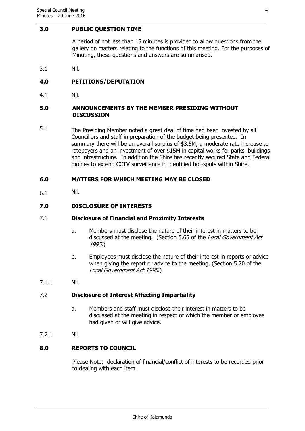#### <span id="page-3-0"></span>**3.0 PUBLIC QUESTION TIME**

A period of not less than 15 minutes is provided to allow questions from the gallery on matters relating to the functions of this meeting. For the purposes of Minuting, these questions and answers are summarised.

3.1 Nil.

# <span id="page-3-1"></span>**4.0 PETITIONS/DEPUTATION**

4.1 Nil.

#### <span id="page-3-2"></span>**5.0 ANNOUNCEMENTS BY THE MEMBER PRESIDING WITHOUT DISCUSSION**

5.1 The Presiding Member noted a great deal of time had been invested by all Councillors and staff in preparation of the budget being presented. In summary there will be an overall surplus of \$3.5M, a moderate rate increase to ratepayers and an investment of over \$15M in capital works for parks, buildings and infrastructure. In addition the Shire has recently secured State and Federal monies to extend CCTV surveillance in identified hot-spots within Shire.

# <span id="page-3-3"></span>**6.0 MATTERS FOR WHICH MEETING MAY BE CLOSED**

6.1 Nil.

# <span id="page-3-4"></span>**7.0 DISCLOSURE OF INTERESTS**

#### 7.1 **Disclosure of Financial and Proximity Interests**

- a. Members must disclose the nature of their interest in matters to be discussed at the meeting. (Section 5.65 of the Local Government Act 1995.)
- b. Employees must disclose the nature of their interest in reports or advice when giving the report or advice to the meeting. (Section 5.70 of the Local Government Act 1995.)
- 7.1.1 Nil.

#### 7.2 **Disclosure of Interest Affecting Impartiality**

- a. Members and staff must disclose their interest in matters to be discussed at the meeting in respect of which the member or employee had given or will give advice.
- 7.2.1 Nil.

# <span id="page-3-5"></span>**8.0 REPORTS TO COUNCIL**

Please Note: declaration of financial/conflict of interests to be recorded prior to dealing with each item.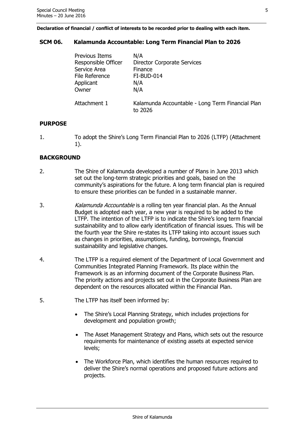**Declaration of financial / conflict of interests to be recorded prior to dealing with each item.**

# <span id="page-4-0"></span>**SCM 06. Kalamunda Accountable: Long Term Financial Plan to 2026**

| <b>Previous Items</b> | N/A                                                         |
|-----------------------|-------------------------------------------------------------|
| Responsible Officer   | <b>Director Corporate Services</b>                          |
| Service Area          | Finance                                                     |
| File Reference        | FI-BUD-014                                                  |
| Applicant             | N/A                                                         |
| Owner                 | N/A                                                         |
| Attachment 1          | Kalamunda Accountable - Long Term Financial Plan<br>to 2026 |

#### **PURPOSE**

1. To adopt the Shire's Long Term Financial Plan to 2026 (LTFP) (Attachment 1).

# **BACKGROUND**

- 2. The Shire of Kalamunda developed a number of Plans in June 2013 which set out the long-term strategic priorities and goals, based on the community's aspirations for the future. A long term financial plan is required to ensure these priorities can be funded in a sustainable manner.
- 3. Kalamunda Accountable is a rolling ten year financial plan. As the Annual Budget is adopted each year, a new year is required to be added to the LTFP. The intention of the LTFP is to indicate the Shire's long term financial sustainability and to allow early identification of financial issues. This will be the fourth year the Shire re-states its LTFP taking into account issues such as changes in priorities, assumptions, funding, borrowings, financial sustainability and legislative changes.
- 4. The LTFP is a required element of the Department of Local Government and Communities Integrated Planning Framework. Its place within the Framework is as an informing document of the Corporate Business Plan. The priority actions and projects set out in the Corporate Business Plan are dependent on the resources allocated within the Financial Plan.
- 5. The LTFP has itself been informed by:
	- The Shire's Local Planning Strategy, which includes projections for development and population growth;
	- The Asset Management Strategy and Plans, which sets out the resource requirements for maintenance of existing assets at expected service levels;
	- The Workforce Plan, which identifies the human resources required to deliver the Shire's normal operations and proposed future actions and projects.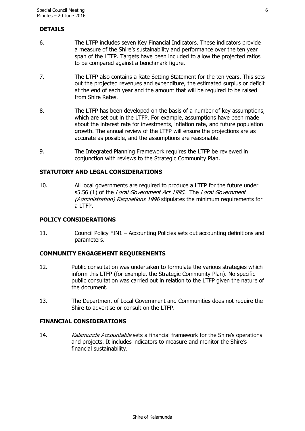#### **DETAILS**

- 6. The LTFP includes seven Key Financial Indicators. These indicators provide a measure of the Shire's sustainability and performance over the ten year span of the LTFP. Targets have been included to allow the projected ratios to be compared against a benchmark figure.
- 7. The LTFP also contains a Rate Setting Statement for the ten years. This sets out the projected revenues and expenditure, the estimated surplus or deficit at the end of each year and the amount that will be required to be raised from Shire Rates.
- 8. The LTFP has been developed on the basis of a number of key assumptions, which are set out in the LTFP. For example, assumptions have been made about the interest rate for investments, inflation rate, and future population growth. The annual review of the LTFP will ensure the projections are as accurate as possible, and the assumptions are reasonable.
- 9. The Integrated Planning Framework requires the LTFP be reviewed in conjunction with reviews to the Strategic Community Plan.

# **STATUTORY AND LEGAL CONSIDERATIONS**

10. All local governments are required to produce a LTFP for the future under s5.56 (1) of the Local Government Act 1995. The Local Government (Administration) Regulations 1996 stipulates the minimum requirements for a LTFP.

# **POLICY CONSIDERATIONS**

11. Council Policy FIN1 – Accounting Policies sets out accounting definitions and parameters.

# **COMMUNITY ENGAGEMENT REQUIREMENTS**

- 12. Public consultation was undertaken to formulate the various strategies which inform this LTFP (for example, the Strategic Community Plan). No specific public consultation was carried out in relation to the LTFP given the nature of the document.
- 13. The Department of Local Government and Communities does not require the Shire to advertise or consult on the LTFP.

#### **FINANCIAL CONSIDERATIONS**

14. Kalamunda Accountable sets a financial framework for the Shire's operations and projects. It includes indicators to measure and monitor the Shire's financial sustainability.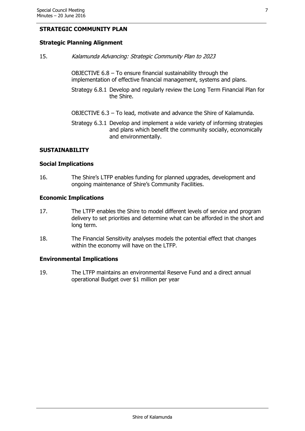# **STRATEGIC COMMUNITY PLAN**

# **Strategic Planning Alignment**

15. Kalamunda Advancing: Strategic Community Plan to 2023

OBJECTIVE 6.8 – To ensure financial sustainability through the implementation of effective financial management, systems and plans.

- Strategy 6.8.1 Develop and regularly review the Long Term Financial Plan for the Shire.
- OBJECTIVE 6.3 To lead, motivate and advance the Shire of Kalamunda.
- Strategy 6.3.1 Develop and implement a wide variety of informing strategies and plans which benefit the community socially, economically and environmentally.

#### **SUSTAINABILITY**

#### **Social Implications**

16. The Shire's LTFP enables funding for planned upgrades, development and ongoing maintenance of Shire's Community Facilities.

#### **Economic Implications**

- 17. The LTFP enables the Shire to model different levels of service and program delivery to set priorities and determine what can be afforded in the short and long term.
- 18. The Financial Sensitivity analyses models the potential effect that changes within the economy will have on the LTFP.

#### **Environmental Implications**

19. The LTFP maintains an environmental Reserve Fund and a direct annual operational Budget over \$1 million per year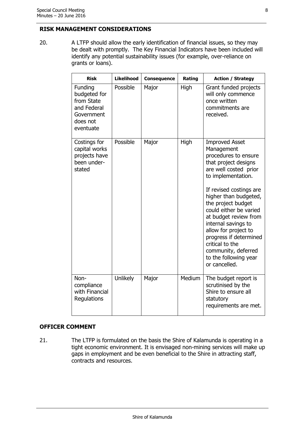# **RISK MANAGEMENT CONSIDERATIONS**

20. A LTFP should allow the early identification of financial issues, so they may be dealt with promptly. The Key Financial Indicators have been included will identify any potential sustainability issues (for example, over-reliance on grants or loans).

| <b>Risk</b>                                                                                 | <b>Likelihood</b> | Consequence | Rating | <b>Action / Strategy</b>                                                                                                                                                                                                                                                                                                                                                                                                     |
|---------------------------------------------------------------------------------------------|-------------------|-------------|--------|------------------------------------------------------------------------------------------------------------------------------------------------------------------------------------------------------------------------------------------------------------------------------------------------------------------------------------------------------------------------------------------------------------------------------|
| Funding<br>budgeted for<br>from State<br>and Federal<br>Government<br>does not<br>eventuate | Possible          | Major       | High   | Grant funded projects<br>will only commence<br>once written<br>commitments are<br>received.                                                                                                                                                                                                                                                                                                                                  |
| Costings for<br>capital works<br>projects have<br>been under-<br>stated                     | Possible          | Major       | High   | <b>Improved Asset</b><br>Management<br>procedures to ensure<br>that project designs<br>are well costed prior<br>to implementation.<br>If revised costings are<br>higher than budgeted,<br>the project budget<br>could either be varied<br>at budget review from<br>internal savings to<br>allow for project to<br>progress if determined<br>critical to the<br>community, deferred<br>to the following year<br>or cancelled. |
| Non-<br>compliance<br>with Financial<br>Regulations                                         | Unlikely          | Major       | Medium | The budget report is<br>scrutinised by the<br>Shire to ensure all<br>statutory<br>requirements are met.                                                                                                                                                                                                                                                                                                                      |

# **OFFICER COMMENT**

21. The LTFP is formulated on the basis the Shire of Kalamunda is operating in a tight economic environment. It is envisaged non-mining services will make up gaps in employment and be even beneficial to the Shire in attracting staff, contracts and resources.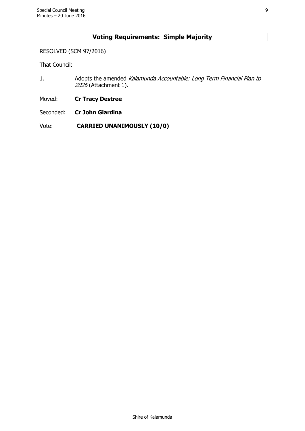# **Voting Requirements: Simple Majority**

# RESOLVED (SCM 97/2016)

That Council:

1. Adopts the amended Kalamunda Accountable: Long Term Financial Plan to 2026 (Attachment 1).

Moved: **Cr Tracy Destree**

Seconded: **Cr John Giardina**

Vote: **CARRIED UNANIMOUSLY (10/0)**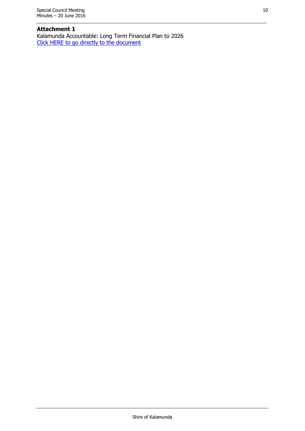# **Attachment 1**

Kalamunda Accountable: Long Term Financial Plan to 2026 [Click HERE to go directly to the document](http://www.kalamunda.wa.gov.au/files/d024456b-2169-4f78-ac90-a62700e29111/Item-6-Att-1-SCM-20-June-2016.pdf)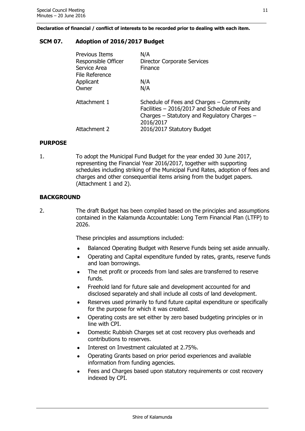**Declaration of financial / conflict of interests to be recorded prior to dealing with each item.**

# <span id="page-10-0"></span>**SCM 07. Adoption of 2016/2017 Budget**

| <b>Previous Items</b><br>Responsible Officer<br>Service Area<br>File Reference | N/A<br><b>Director Corporate Services</b><br>Finance                                                                                                     |
|--------------------------------------------------------------------------------|----------------------------------------------------------------------------------------------------------------------------------------------------------|
| Applicant                                                                      | N/A                                                                                                                                                      |
| Owner                                                                          | N/A                                                                                                                                                      |
| Attachment 1                                                                   | Schedule of Fees and Charges - Community<br>Facilities - 2016/2017 and Schedule of Fees and<br>Charges – Statutory and Regulatory Charges –<br>2016/2017 |
| Attachment 2                                                                   | 2016/2017 Statutory Budget                                                                                                                               |

# **PURPOSE**

1. To adopt the Municipal Fund Budget for the year ended 30 June 2017, representing the Financial Year 2016/2017, together with supporting schedules including striking of the Municipal Fund Rates, adoption of fees and charges and other consequential items arising from the budget papers. (Attachment 1 and 2).

# **BACKGROUND**

2. The draft Budget has been compiled based on the principles and assumptions contained in the Kalamunda Accountable: Long Term Financial Plan (LTFP) to 2026.

These principles and assumptions included:

- Balanced Operating Budget with Reserve Funds being set aside annually.
- Operating and Capital expenditure funded by rates, grants, reserve funds and loan borrowings.
- The net profit or proceeds from land sales are transferred to reserve funds.
- Freehold land for future sale and development accounted for and disclosed separately and shall include all costs of land development.
- Reserves used primarily to fund future capital expenditure or specifically for the purpose for which it was created.
- Operating costs are set either by zero based budgeting principles or in line with CPI.
- Domestic Rubbish Charges set at cost recovery plus overheads and contributions to reserves.
- Interest on Investment calculated at 2.75%.
- Operating Grants based on prior period experiences and available information from funding agencies.
- Fees and Charges based upon statutory requirements or cost recovery indexed by CPI.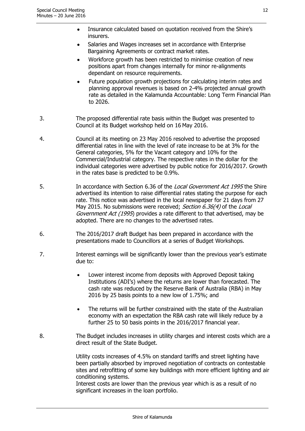- Insurance calculated based on quotation received from the Shire's insurers.
- Salaries and Wages increases set in accordance with Enterprise Bargaining Agreements or contract market rates.
- Workforce growth has been restricted to minimise creation of new positions apart from changes internally for minor re-alignments dependant on resource requirements.
- Future population growth projections for calculating interim rates and planning approval revenues is based on 2-4% projected annual growth rate as detailed in the Kalamunda Accountable: Long Term Financial Plan to 2026.
- 3. The proposed differential rate basis within the Budget was presented to Council at its Budget workshop held on 16 May 2016.
- 4. Council at its meeting on 23 May 2016 resolved to advertise the proposed differential rates in line with the level of rate increase to be at 3% for the General categories, 5% for the Vacant category and 10% for the Commercial/Industrial category. The respective rates in the dollar for the individual categories were advertised by public notice for 2016/2017. Growth in the rates base is predicted to be 0.9%.
- 5. In accordance with Section 6.36 of the *Local Government Act 1995* the Shire advertised its intention to raise differential rates stating the purpose for each rate. This notice was advertised in the local newspaper for 21 days from 27 May 2015. No submissions were received; Section 6.36(4) of the Local Government Act (1995) provides a rate different to that advertised, may be adopted. There are no changes to the advertised rates.
- 6. The 2016/2017 draft Budget has been prepared in accordance with the presentations made to Councillors at a series of Budget Workshops.
- 7. Interest earnings will be significantly lower than the previous year's estimate due to:
	- Lower interest income from deposits with Approved Deposit taking Institutions (ADI's) where the returns are lower than forecasted. The cash rate was reduced by the Reserve Bank of Australia (RBA) in May 2016 by 25 basis points to a new low of 1.75%; and
	- The returns will be further constrained with the state of the Australian economy with an expectation the RBA cash rate will likely reduce by a further 25 to 50 basis points in the 2016/2017 financial year.
- 8. The Budget includes increases in utility charges and interest costs which are a direct result of the State Budget.

Utility costs increases of 4.5% on standard tariffs and street lighting have been partially absorbed by improved negotiation of contracts on contestable sites and retrofitting of some key buildings with more efficient lighting and air conditioning systems.

Interest costs are lower than the previous year which is as a result of no significant increases in the loan portfolio.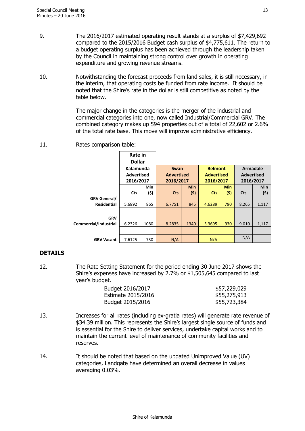- 9. The 2016/2017 estimated operating result stands at a surplus of \$7,429,692 compared to the 2015/2016 Budget cash surplus of \$4,775,611. The return to a budget operating surplus has been achieved through the leadership taken by the Council in maintaining strong control over growth in operating expenditure and growing revenue streams.
- 10. Notwithstanding the forecast proceeds from land sales, it is still necessary, in the interim, that operating costs be funded from rate income. It should be noted that the Shire's rate in the dollar is still competitive as noted by the table below.

The major change in the categories is the merger of the industrial and commercial categories into one, now called Industrial/Commercial GRV. The combined category makes up 594 properties out of a total of 22,602 or 2.6% of the total rate base. This move will improve administrative efficiency.

11. Rates comparison table:

|                       | Rate in<br><b>Dollar</b>                    |      |                                        |            |                                                  |            |                                                   |       |
|-----------------------|---------------------------------------------|------|----------------------------------------|------------|--------------------------------------------------|------------|---------------------------------------------------|-------|
|                       | Kalamunda<br><b>Advertised</b><br>2016/2017 |      | Swan<br><b>Advertised</b><br>2016/2017 |            | <b>Belmont</b><br><b>Advertised</b><br>2016/2017 |            | <b>Armadale</b><br><b>Advertised</b><br>2016/2017 |       |
|                       |                                             | Min  |                                        | <b>Min</b> |                                                  | <b>Min</b> |                                                   | Min   |
|                       | <b>Cts</b>                                  | (\$) | <b>Cts</b>                             | (\$)       | <b>Cts</b>                                       | (\$)       | <b>Cts</b>                                        | (\$)  |
| <b>GRV General/</b>   |                                             |      |                                        |            |                                                  |            |                                                   |       |
| <b>Residential</b>    | 5.6892                                      | 865  | 6.7751                                 | 845        | 4.6289                                           | 790        | 8.265                                             | 1,117 |
|                       |                                             |      |                                        |            |                                                  |            |                                                   |       |
| <b>GRV</b>            |                                             |      |                                        |            |                                                  |            |                                                   |       |
| Commercial/Industrial | 6.2326                                      | 1080 | 8.2835                                 | 1340       | 5.3695                                           | 930        | 9.010                                             | 1,117 |
|                       |                                             |      |                                        |            |                                                  |            |                                                   |       |
| <b>GRV Vacant</b>     | 7.6125                                      | 730  | N/A                                    |            | N/A                                              |            | N/A                                               |       |

# **DETAILS**

12. The Rate Setting Statement for the period ending 30 June 2017 shows the Shire's expenses have increased by 2.7% or \$1,505,645 compared to last year's budget.

| \$57,229,029 |
|--------------|
| \$55,275,913 |
| \$55,723,384 |
|              |

- 13. Increases for all rates (including ex-gratia rates) will generate rate revenue of \$34.39 million. This represents the Shire's largest single source of funds and is essential for the Shire to deliver services, undertake capital works and to maintain the current level of maintenance of community facilities and reserves.
- 14. It should be noted that based on the updated Unimproved Value (UV) categories, Landgate have determined an overall decrease in values averaging 0.03%.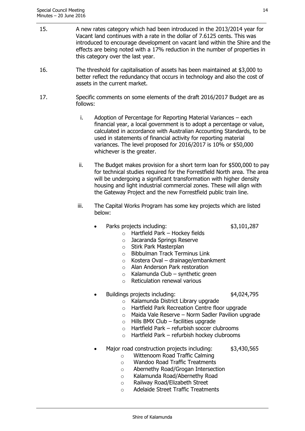- 15. A new rates category which had been introduced in the 2013/2014 year for Vacant land continues with a rate in the dollar of 7.6125 cents. This was introduced to encourage development on vacant land within the Shire and the effects are being noted with a 17% reduction in the number of properties in this category over the last year.
- 16. The threshold for capitalisation of assets has been maintained at \$3,000 to better reflect the redundancy that occurs in technology and also the cost of assets in the current market.
- 17. Specific comments on some elements of the draft 2016/2017 Budget are as follows:
	- i. Adoption of Percentage for Reporting Material Variances each financial year, a local government is to adopt a percentage or value, calculated in accordance with Australian Accounting Standards, to be used in statements of financial activity for reporting material variances. The level proposed for 2016/2017 is 10% or \$50,000 whichever is the greater.
	- ii. The Budget makes provision for a short term loan for \$500,000 to pay for technical studies required for the Forrestfield North area. The area will be undergoing a significant transformation with higher density housing and light industrial commercial zones. These will align with the Gateway Project and the new Forrestfield public train line.
	- iii. The Capital Works Program has some key projects which are listed below:
		- Parks projects including:  $$3,101,287$

- $\circ$  Hartfield Park Hockey fields
- o Jacaranda Springs Reserve
- o Stirk Park Masterplan
- o Bibbulman Track Terminus Link
- $\circ$  Kostera Oval drainage/embankment
- o Alan Anderson Park restoration
- $\circ$  Kalamunda Club synthetic green
- o Reticulation renewal various
- Buildings projects including: \$4,024,795

- o Kalamunda District Library upgrade
- o Hartfield Park Recreation Centre floor upgrade
- $\circ$  Maida Vale Reserve Norm Sadler Pavilion upgrade
- $\circ$  Hills BMX Club facilities upgrade
- $\circ$  Hartfield Park refurbish soccer clubrooms
- $\circ$  Hartfield Park refurbish hockey clubrooms
- Major road construction projects including: \$3,430,565
	- o Wittenoom Road Traffic Calming
	- o Wandoo Road Traffic Treatments
	- o Abernethy Road/Grogan Intersection
	- o Kalamunda Road/Abernethy Road
	- o Railway Road/Elizabeth Street
	- o Adelaide Street Traffic Treatments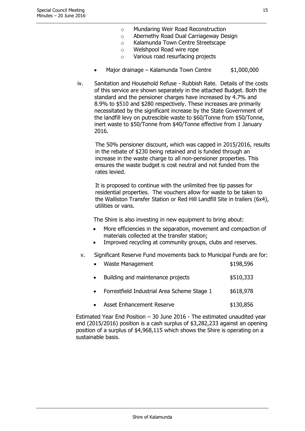- o Mundaring Weir Road Reconstruction
- o Abernethy Road Dual Carriageway Design
- o Kalamunda Town Centre Streetscape
- o Welshpool Road wire rope
- o Various road resurfacing projects
- Major drainage Kalamunda Town Centre \$1,000,000
- iv. Sanitation and Household Refuse Rubbish Rate. Details of the costs of this service are shown separately in the attached Budget. Both the standard and the pensioner charges have increased by 4.7% and 8.9% to \$510 and \$280 respectively. These increases are primarily necessitated by the significant increase by the State Government of the landfill levy on putrescible waste to \$60/Tonne from \$50/Tonne, inert waste to \$50/Tonne from \$40/Tonne effective from 1 January 2016.

The 50% pensioner discount, which was capped in 2015/2016, results in the rebate of \$230 being retained and is funded through an increase in the waste charge to all non-pensioner properties. This ensures the waste budget is cost neutral and not funded from the rates levied.

It is proposed to continue with the unlimited free tip passes for residential properties. The vouchers allow for waste to be taken to the Walliston Transfer Station or Red Hill Landfill Site in trailers (6x4), utilities or vans.

The Shire is also investing in new equipment to bring about:

- More efficiencies in the separation, movement and compaction of materials collected at the transfer station;
- Improved recycling at community groups, clubs and reserves.
- v. Significant Reserve Fund movements back to Municipal Funds are for:

| Waste Management                            | \$198,596 |
|---------------------------------------------|-----------|
| Building and maintenance projects           | \$510,333 |
| Forrestfield Industrial Area Scheme Stage 1 | \$618,978 |

Asset Enhancement Reserve **\$130,856** 

Estimated Year End Position – 30 June 2016 - The estimated unaudited year end (2015/2016) position is a cash surplus of \$3,282,233 against an opening position of a surplus of \$4,968,115 which shows the Shire is operating on a sustainable basis.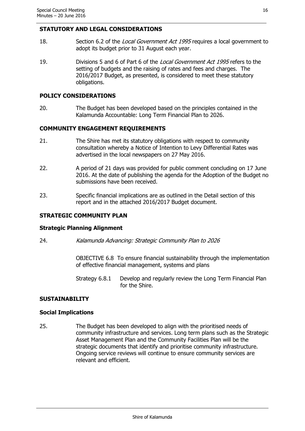## **STATUTORY AND LEGAL CONSIDERATIONS**

- 18. Section 6.2 of the Local Government Act 1995 requires a local government to adopt its budget prior to 31 August each year.
- 19. Divisions 5 and 6 of Part 6 of the Local Government Act 1995 refers to the setting of budgets and the raising of rates and fees and charges. The 2016/2017 Budget, as presented, is considered to meet these statutory obligations.

# **POLICY CONSIDERATIONS**

20. The Budget has been developed based on the principles contained in the Kalamunda Accountable: Long Term Financial Plan to 2026.

# **COMMUNITY ENGAGEMENT REQUIREMENTS**

- 21. The Shire has met its statutory obligations with respect to community consultation whereby a Notice of Intention to Levy Differential Rates was advertised in the local newspapers on 27 May 2016.
- 22. A period of 21 days was provided for public comment concluding on 17 June 2016. At the date of publishing the agenda for the Adoption of the Budget no submissions have been received.
- 23. Specific financial implications are as outlined in the Detail section of this report and in the attached 2016/2017 Budget document.

# **STRATEGIC COMMUNITY PLAN**

#### **Strategic Planning Alignment**

24. Kalamunda Advancing: Strategic Community Plan to 2026

OBJECTIVE 6.8 To ensure financial sustainability through the implementation of effective financial management, systems and plans

Strategy 6.8.1 Develop and regularly review the Long Term Financial Plan for the Shire.

# **SUSTAINABILITY**

#### **Social Implications**

25. The Budget has been developed to align with the prioritised needs of community infrastructure and services. Long term plans such as the Strategic Asset Management Plan and the Community Facilities Plan will be the strategic documents that identify and prioritise community infrastructure. Ongoing service reviews will continue to ensure community services are relevant and efficient.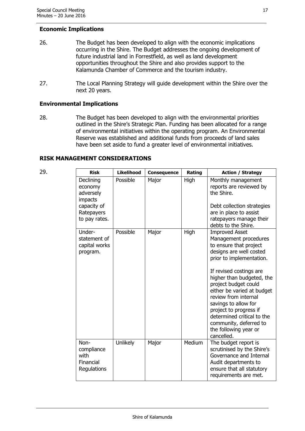# **Economic Implications**

- 26. The Budget has been developed to align with the economic implications occurring in the Shire. The Budget addresses the ongoing development of future industrial land in Forrestfield, as well as land development opportunities throughout the Shire and also provides support to the Kalamunda Chamber of Commerce and the tourism industry.
- 27. The Local Planning Strategy will guide development within the Shire over the next 20 years.

# **Environmental Implications**

28. The Budget has been developed to align with the environmental priorities outlined in the Shire's Strategic Plan. Funding has been allocated for a range of environmental initiatives within the operating program. An Environmental Reserve was established and additional funds from proceeds of land sales have been set aside to fund a greater level of environmental initiatives.

# **RISK MANAGEMENT CONSIDERATIONS**

| 29. | <b>Risk</b>                                                                                | <b>Likelihood</b> | Consequence | Rating | <b>Action / Strategy</b>                                                                                                                                                                                                                                                                                                                                                                                               |
|-----|--------------------------------------------------------------------------------------------|-------------------|-------------|--------|------------------------------------------------------------------------------------------------------------------------------------------------------------------------------------------------------------------------------------------------------------------------------------------------------------------------------------------------------------------------------------------------------------------------|
|     | Declining<br>economy<br>adversely<br>impacts<br>capacity of<br>Ratepayers<br>to pay rates. | Possible          | Major       | High   | Monthly management<br>reports are reviewed by<br>the Shire.<br>Debt collection strategies<br>are in place to assist<br>ratepayers manage their<br>debts to the Shire.                                                                                                                                                                                                                                                  |
|     | Under-<br>statement of<br>capital works<br>program.                                        | Possible          | Major       | High   | <b>Improved Asset</b><br>Management procedures<br>to ensure that project<br>designs are well costed<br>prior to implementation.<br>If revised costings are<br>higher than budgeted, the<br>project budget could<br>either be varied at budget<br>review from internal<br>savings to allow for<br>project to progress if<br>determined critical to the<br>community, deferred to<br>the following year or<br>cancelled. |
|     | Non-<br>compliance<br>with<br>Financial<br>Regulations                                     | <b>Unlikely</b>   | Major       | Medium | The budget report is<br>scrutinised by the Shire's<br>Governance and Internal<br>Audit departments to<br>ensure that all statutory<br>requirements are met.                                                                                                                                                                                                                                                            |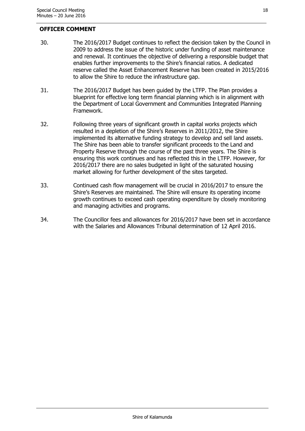#### **OFFICER COMMENT**

- 30. The 2016/2017 Budget continues to reflect the decision taken by the Council in 2009 to address the issue of the historic under funding of asset maintenance and renewal. It continues the objective of delivering a responsible budget that enables further improvements to the Shire's financial ratios. A dedicated reserve called the Asset Enhancement Reserve has been created in 2015/2016 to allow the Shire to reduce the infrastructure gap.
- 31. The 2016/2017 Budget has been guided by the LTFP. The Plan provides a blueprint for effective long term financial planning which is in alignment with the Department of Local Government and Communities Integrated Planning Framework.
- 32. Following three years of significant growth in capital works projects which resulted in a depletion of the Shire's Reserves in 2011/2012, the Shire implemented its alternative funding strategy to develop and sell land assets. The Shire has been able to transfer significant proceeds to the Land and Property Reserve through the course of the past three years. The Shire is ensuring this work continues and has reflected this in the LTFP. However, for 2016/2017 there are no sales budgeted in light of the saturated housing market allowing for further development of the sites targeted.
- 33. Continued cash flow management will be crucial in 2016/2017 to ensure the Shire's Reserves are maintained. The Shire will ensure its operating income growth continues to exceed cash operating expenditure by closely monitoring and managing activities and programs.
- 34. The Councillor fees and allowances for 2016/2017 have been set in accordance with the Salaries and Allowances Tribunal determination of 12 April 2016.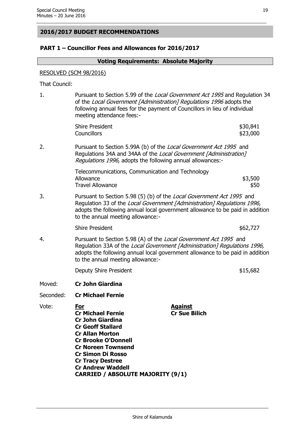#### **2016/2017 BUDGET RECOMMENDATIONS**

## **PART 1 – Councillor Fees and Allowances for 2016/2017**

#### **Voting Requirements: Absolute Majority**

#### RESOLVED (SCM 98/2016)

That Council:

1. Pursuant to Section 5.99 of the Local Government Act 1995 and Regulation 34 of the Local Government [Administration] Regulations 1996 adopts the following annual fees for the payment of Councillors in lieu of individual meeting attendance fees:-

| <b>Shire President</b> | \$30,841 |
|------------------------|----------|
| <b>Councillors</b>     | \$23,000 |

2. Pursuant to Section 5.99A (b) of the Local Government Act 1995 and Regulations 34A and 34AA of the Local Government [Administration] Regulations 1996, adopts the following annual allowances:-

> Telecommunications, Communication and Technology Allowance \$3,500 Travel Allowance **\$50**

3. Pursuant to Section 5.98 (5) (b) of the Local Government Act 1995 and Regulation 33 of the Local Government [Administration] Regulations 1996, adopts the following annual local government allowance to be paid in addition to the annual meeting allowance:-

Shire President  $$62,727$ 

4. Pursuant to Section 5.98 (A) of the Local Government Act 1995 and Regulation 33A of the Local Government [Administration] Regulations 1996, adopts the following annual local government allowance to be paid in addition to the annual meeting allowance:-

Deputy Shire President  $$15,682$ 

- Moved: **Cr John Giardina**
- Seconded: **Cr Michael Fernie**
- Vote: **For Against Cr Michael Fernie Cr Sue Bilich Cr John Giardina Cr Geoff Stallard Cr Allan Morton Cr Brooke O'Donnell Cr Noreen Townsend Cr Simon Di Rosso Cr Tracy Destree Cr Andrew Waddell CARRIED / ABSOLUTE MAJORITY (9/1)**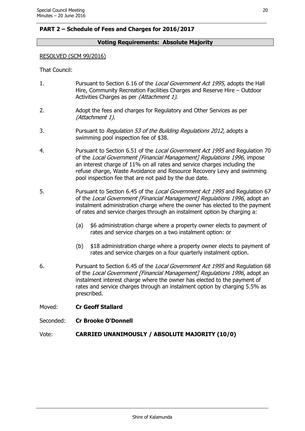# **PART 2 – Schedule of Fees and Charges for 2016/2017**

# **Voting Requirements: Absolute Majority**

#### RESOLVED (SCM 99/2016)

That Council:

- 1. Pursuant to Section 6.16 of the Local Government Act 1995, adopts the Hall Hire, Community Recreation Facilities Charges and Reserve Hire – Outdoor Activities Charges as per (Attachment 1).
- 2. Adopt the fees and charges for Regulatory and Other Services as per (Attachment 1).
- 3. Pursuant to Regulation 53 of the Building Regulations 2012, adopts a swimming pool inspection fee of \$38.
- 4. Pursuant to Section 6.51 of the Local Government Act 1995 and Regulation 70 of the Local Government [Financial Management] Regulations 1996, impose an interest charge of 11% on all rates and service charges including the refuse charge, Waste Avoidance and Resource Recovery Levy and swimming pool inspection fee that are not paid by the due date.
- 5. Pursuant to Section 6.45 of the Local Government Act 1995 and Regulation 67 of the Local Government [Financial Management] Regulations 1996, adopt an instalment administration charge where the owner has elected to the payment of rates and service charges through an instalment option by charging a:
	- (a) \$6 administration charge where a property owner elects to payment of rates and service charges on a two instalment option: or
	- (b) \$18 administration charge where a property owner elects to payment of rates and service charges on a four quarterly instalment option.
- 6. Pursuant to Section 6.45 of the Local Government Act 1995 and Regulation 68 of the Local Government [Financial Management] Regulations 1996, adopt an instalment interest charge where the owner has elected to the payment of rates and service charges through an instalment option by charging 5.5% as prescribed.
- Moved: **Cr Geoff Stallard**
- Seconded: **Cr Brooke O'Donnell**

Vote: **CARRIED UNANIMOUSLY / ABSOLUTE MAJORITY (10/0)**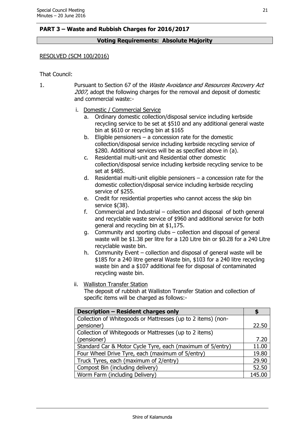# **PART 3 – Waste and Rubbish Charges for 2016/2017**

# **Voting Requirements: Absolute Majority**

#### RESOLVED (SCM 100/2016)

That Council:

1. Pursuant to Section 67 of the *Waste Avoidance and Resources Recovery Act* 2007, adopt the following charges for the removal and deposit of domestic and commercial waste:-

- i. Domestic / Commercial Service
	- a. Ordinary domestic collection/disposal service including kerbside recycling service to be set at \$510 and any additional general waste bin at \$610 or recycling bin at \$165
	- b. Eligible pensioners  $-$  a concession rate for the domestic collection/disposal service including kerbside recycling service of \$280. Additional services will be as specified above in (a).
	- c. Residential multi-unit and Residential other domestic collection/disposal service including kerbside recycling service to be set at \$485.
	- d. Residential multi-unit eligible pensioners a concession rate for the domestic collection/disposal service including kerbside recycling service of \$255.
	- e. Credit for residential properties who cannot access the skip bin service \$(38).
	- f. Commercial and Industrial collection and disposal of both general and recyclable waste service of \$960 and additional service for both general and recycling bin at \$1,175.
	- g. Community and sporting clubs collection and disposal of general waste will be \$1.38 per litre for a 120 Litre bin or \$0.28 for a 240 Litre recyclable waste bin.
	- h. Community Event collection and disposal of general waste will be \$185 for a 240 litre general Waste bin, \$103 for a 240 litre recycling waste bin and a \$107 additional fee for disposal of contaminated recycling waste bin.

#### ii. Walliston Transfer Station

The deposit of rubbish at Walliston Transfer Station and collection of specific items will be charged as follows:-

| Description - Resident charges only                          |        |  |
|--------------------------------------------------------------|--------|--|
| Collection of Whitegoods or Mattresses (up to 2 items) (non- |        |  |
| pensioner)                                                   | 22.50  |  |
| Collection of Whitegoods or Mattresses (up to 2 items)       |        |  |
| (pensioner)                                                  | 7.20   |  |
| Standard Car & Motor Cycle Tyre, each (maximum of 5/entry)   | 11.00  |  |
| Four Wheel Drive Tyre, each (maximum of 5/entry)             | 19.80  |  |
| Truck Tyres, each (maximum of 2/entry)                       | 29.90  |  |
| Compost Bin (including delivery)                             | 52.50  |  |
| Worm Farm (including Delivery)                               | 145.00 |  |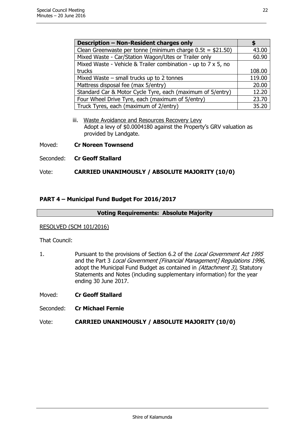| <b>Description - Non-Resident charges only</b>                |        |
|---------------------------------------------------------------|--------|
| Clean Greenwaste per tonne (minimum charge $0.5t = $21.50$ )  | 43.00  |
| Mixed Waste - Car/Station Wagon/Utes or Trailer only          | 60.90  |
| Mixed Waste - Vehicle & Trailer combination - up to 7 x 5, no |        |
| trucks                                                        | 108.00 |
| Mixed Waste $-$ small trucks up to 2 tonnes                   | 119.00 |
| Mattress disposal fee (max 5/entry)                           | 20.00  |
| Standard Car & Motor Cycle Tyre, each (maximum of 5/entry)    | 12.20  |
| Four Wheel Drive Tyre, each (maximum of 5/entry)              | 23.70  |
| Truck Tyres, each (maximum of 2/entry)                        | 35.20  |

- iii. Waste Avoidance and Resources Recovery Levy Adopt a levy of \$0.0004180 against the Property's GRV valuation as provided by Landgate.
- Moved: **Cr Noreen Townsend**
- Seconded: **Cr Geoff Stallard**

# Vote: **CARRIED UNANIMOUSLY / ABSOLUTE MAJORITY (10/0)**

#### **PART 4 – Municipal Fund Budget For 2016/2017**

#### **Voting Requirements: Absolute Majority**

#### RESOLVED (SCM 101/2016)

That Council:

1. Pursuant to the provisions of Section 6.2 of the Local Government Act 1995 and the Part 3 Local Government [Financial Management] Regulations 1996, adopt the Municipal Fund Budget as contained in (Attachment 3), Statutory Statements and Notes (including supplementary information) for the year ending 30 June 2017.

Moved: **Cr Geoff Stallard**

Seconded: **Cr Michael Fernie**

#### Vote: **CARRIED UNANIMOUSLY / ABSOLUTE MAJORITY (10/0)**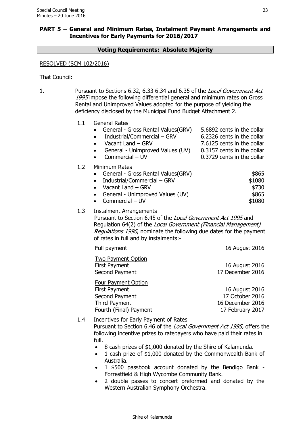# **PART 5 – General and Minimum Rates, Instalment Payment Arrangements and Incentives for Early Payments for 2016/2017**

# **Voting Requirements: Absolute Majority**

#### RESOLVED (SCM 102/2016)

That Council:

1. Pursuant to Sections 6.32, 6.33 6.34 and 6.35 of the Local Government Act 1995 impose the following differential general and minimum rates on Gross Rental and Unimproved Values adopted for the purpose of yielding the deficiency disclosed by the Municipal Fund Budget Attachment 2.

| 1.1 | <b>General Rates</b><br>General - Gross Rental Values (GRV)<br>Industrial/Commercial - GRV<br>Vacant Land - GRV<br>General - Unimproved Values (UV)<br>Commercial - UV                                                                                                            | 5.6892 cents in the dollar<br>6.2326 cents in the dollar<br>7.6125 cents in the dollar<br>0.3157 cents in the dollar<br>0.3729 cents in the dollar |
|-----|-----------------------------------------------------------------------------------------------------------------------------------------------------------------------------------------------------------------------------------------------------------------------------------|----------------------------------------------------------------------------------------------------------------------------------------------------|
| 1.2 | Minimum Rates<br>General - Gross Rental Values(GRV)<br>Industrial/Commercial - GRV<br>Vacant Land - GRV<br>General - Unimproved Values (UV)<br>$\bullet$<br>Commercial - UV                                                                                                       | \$865<br>\$1080<br>\$730<br>\$865<br>\$1080                                                                                                        |
| 1.3 | <b>Instalment Arrangements</b><br>Pursuant to Section 6.45 of the Local Government Act 1995 and<br>Regulation 64(2) of the Local Government (Financial Management)<br>Regulations 1996, nominate the following due dates for the payment<br>of rates in full and by instalments:- |                                                                                                                                                    |
|     | Full payment                                                                                                                                                                                                                                                                      | 16 August 2016                                                                                                                                     |
|     | <b>Two Payment Option</b><br><b>First Payment</b><br>Second Payment                                                                                                                                                                                                               | 16 August 2016<br>17 December 2016                                                                                                                 |
|     | Four Payment Option<br><b>First Payment</b><br>Second Payment<br><b>Third Payment</b><br>Fourth (Final) Payment                                                                                                                                                                   | 16 August 2016<br>17 October 2016<br>16 December 2016<br>17 February 2017                                                                          |
| 1.4 | Incentives for Early Payment of Rates<br>Pursuant to Section 6.46 of the Local Government Act 1995, offers the<br>following incentive prizes to ratepayers who have paid their rates in<br>full.                                                                                  |                                                                                                                                                    |

- 8 cash prizes of \$1,000 donated by the Shire of Kalamunda.
- 1 cash prize of \$1,000 donated by the Commonwealth Bank of Australia.
- 1 \$500 passbook account donated by the Bendigo Bank Forrestfield & High Wycombe Community Bank.
- 2 double passes to concert preformed and donated by the Western Australian Symphony Orchestra.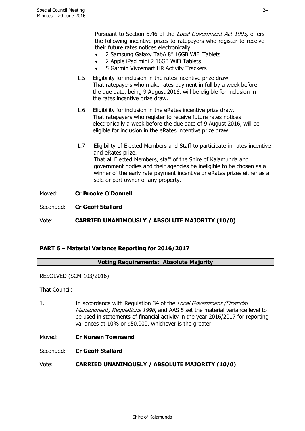Pursuant to Section 6.46 of the Local Government Act 1995, offers the following incentive prizes to ratepayers who register to receive their future rates notices electronically.

- 2 Samsung Galaxy TabA 8" 16GB WiFi Tablets
- 2 Apple iPad mini 2 16GB WiFi Tablets
- 5 Garmin Vivosmart HR Activity Trackers
- 1.5 Eligibility for inclusion in the rates incentive prize draw. That ratepayers who make rates payment in full by a week before the due date, being 9 August 2016, will be eligible for inclusion in the rates incentive prize draw.
- 1.6 Eligibility for inclusion in the eRates incentive prize draw. That ratepayers who register to receive future rates notices electronically a week before the due date of 9 August 2016, will be eligible for inclusion in the eRates incentive prize draw.
- 1.7 Eligibility of Elected Members and Staff to participate in rates incentive and eRates prize. That all Elected Members, staff of the Shire of Kalamunda and government bodies and their agencies be ineligible to be chosen as a winner of the early rate payment incentive or eRates prizes either as a sole or part owner of any property.

Moved: **Cr Brooke O'Donnell**

Seconded: **Cr Geoff Stallard**

Vote: **CARRIED UNANIMOUSLY / ABSOLUTE MAJORITY (10/0)**

# **PART 6 – Material Variance Reporting for 2016/2017**

#### **Voting Requirements: Absolute Majority**

#### RESOLVED (SCM 103/2016)

That Council:

1. In accordance with Regulation 34 of the Local Government (Financial Management) Regulations 1996, and AAS 5 set the material variance level to be used in statements of financial activity in the year 2016/2017 for reporting variances at 10% or \$50,000, whichever is the greater.

Moved: **Cr Noreen Townsend**

Seconded: **Cr Geoff Stallard**

Vote: **CARRIED UNANIMOUSLY / ABSOLUTE MAJORITY (10/0)**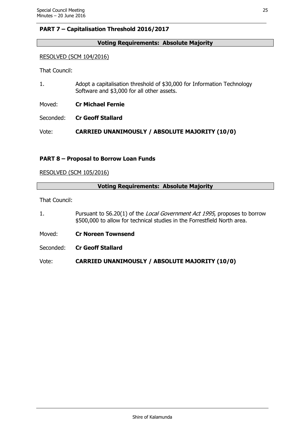# **PART 7 – Capitalisation Threshold 2016/2017**

# **Voting Requirements: Absolute Majority**

#### RESOLVED (SCM 104/2016)

That Council:

1. Adopt a capitalisation threshold of \$30,000 for Information Technology Software and \$3,000 for all other assets.

Moved: **Cr Michael Fernie**

Seconded: **Cr Geoff Stallard**

Vote: **CARRIED UNANIMOUSLY / ABSOLUTE MAJORITY (10/0)**

# **PART 8 – Proposal to Borrow Loan Funds**

#### RESOLVED (SCM 105/2016)

| <b>Voting Requirements: Absolute Majority</b> |                                                                                                                                                               |  |
|-----------------------------------------------|---------------------------------------------------------------------------------------------------------------------------------------------------------------|--|
| That Council:                                 |                                                                                                                                                               |  |
|                                               | Pursuant to S6.20(1) of the <i>Local Government Act 1995</i> , proposes to borrow<br>\$500,000 to allow for technical studies in the Forrestfield North area. |  |
| Moved:                                        | <b>Cr Noreen Townsend</b>                                                                                                                                     |  |

Seconded: **Cr Geoff Stallard**

Vote: **CARRIED UNANIMOUSLY / ABSOLUTE MAJORITY (10/0)**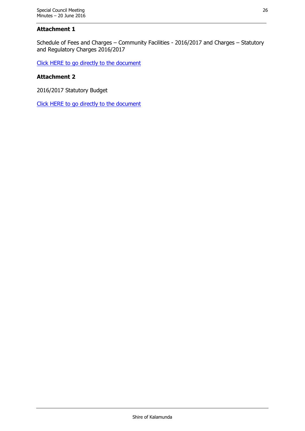# **Attachment 1**

Schedule of Fees and Charges – Community Facilities - 2016/2017 and Charges – Statutory and Regulatory Charges 2016/2017

[Click HERE to go directly to the document](http://www.kalamunda.wa.gov.au/files/b8955b9a-27e4-4477-8b46-a62700e2c760/Item-7-Att-1-SCM-20-June-2016.pdf)

## **Attachment 2**

2016/2017 Statutory Budget

[Click HERE to go directly to the document](http://www.kalamunda.wa.gov.au/files/f9c3f7e8-9514-4014-9dd8-a62700e2f05b/Item-7-Att-2-SCM-20-June-2016.pdf)